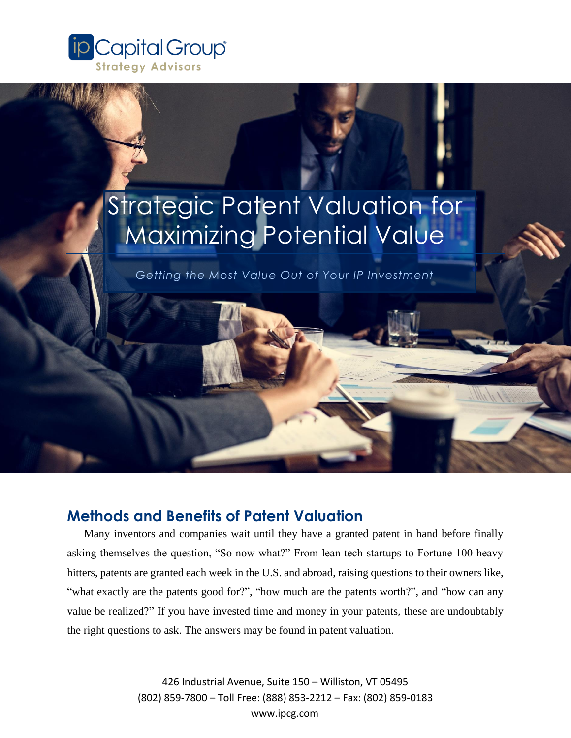

# Strategic Patent Valuation for Maximizing Potential Value

*Getting the Most Value Out of Your IP Investment*

### **Methods and Benefits of Patent Valuation**

Many inventors and companies wait until they have a granted patent in hand before finally asking themselves the question, "So now what?" From lean tech startups to Fortune 100 heavy hitters, patents are granted each week in the U.S. and abroad, raising questions to their owners like, "what exactly are the patents good for?", "how much are the patents worth?", and "how can any value be realized?" If you have invested time and money in your patents, these are undoubtably the right questions to ask. The answers may be found in patent valuation.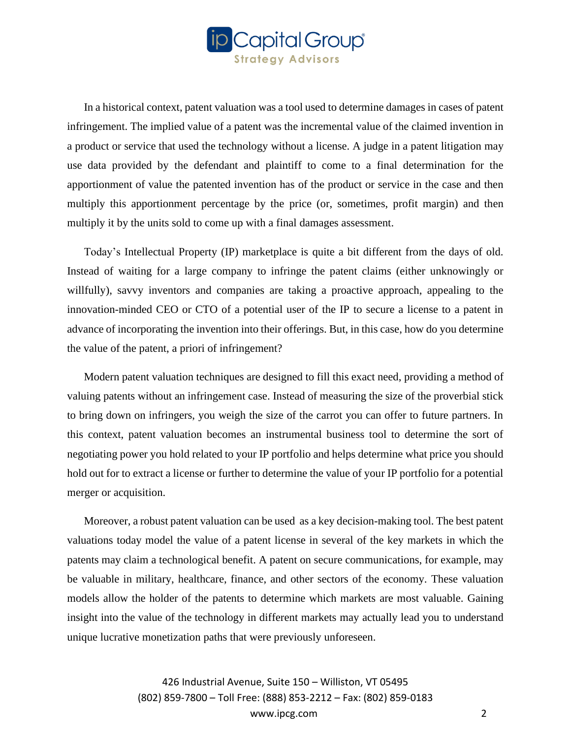

In a historical context, patent valuation was a tool used to determine damages in cases of patent infringement. The implied value of a patent was the incremental value of the claimed invention in a product or service that used the technology without a license. A judge in a patent litigation may use data provided by the defendant and plaintiff to come to a final determination for the apportionment of value the patented invention has of the product or service in the case and then multiply this apportionment percentage by the price (or, sometimes, profit margin) and then multiply it by the units sold to come up with a final damages assessment.

Today's Intellectual Property (IP) marketplace is quite a bit different from the days of old. Instead of waiting for a large company to infringe the patent claims (either unknowingly or willfully), savvy inventors and companies are taking a proactive approach, appealing to the innovation-minded CEO or CTO of a potential user of the IP to secure a license to a patent in advance of incorporating the invention into their offerings. But, in this case, how do you determine the value of the patent, a priori of infringement?

Modern patent valuation techniques are designed to fill this exact need, providing a method of valuing patents without an infringement case. Instead of measuring the size of the proverbial stick to bring down on infringers, you weigh the size of the carrot you can offer to future partners. In this context, patent valuation becomes an instrumental business tool to determine the sort of negotiating power you hold related to your IP portfolio and helps determine what price you should hold out for to extract a license or further to determine the value of your IP portfolio for a potential merger or acquisition.

Moreover, a robust patent valuation can be used as a key decision-making tool. The best patent valuations today model the value of a patent license in several of the key markets in which the patents may claim a technological benefit. A patent on secure communications, for example, may be valuable in military, healthcare, finance, and other sectors of the economy. These valuation models allow the holder of the patents to determine which markets are most valuable. Gaining insight into the value of the technology in different markets may actually lead you to understand unique lucrative monetization paths that were previously unforeseen.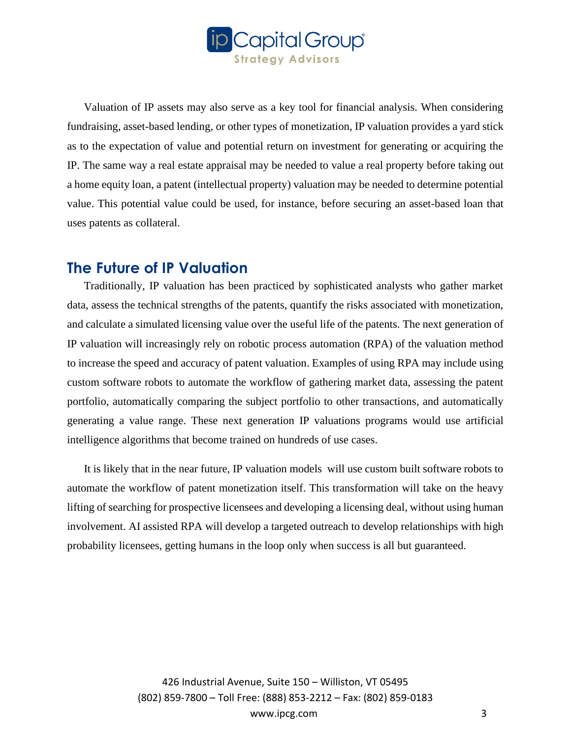

Valuation of IP assets may also serve as a key tool for financial analysis. When considering fundraising, asset-based lending, or other types of monetization, IP valuation provides a yard stick as to the expectation of value and potential return on investment for generating or acquiring the IP. The same way a real estate appraisal may be needed to value a real property before taking out a home equity loan, a patent (intellectual property) valuation may be needed to determine potential value. This potential value could be used, for instance, before securing an asset-based loan that uses patents as collateral.

#### **The Future of IP Valuation**

Traditionally, IP valuation has been practiced by sophisticated analysts who gather market data, assess the technical strengths of the patents, quantify the risks associated with monetization, and calculate a simulated licensing value over the useful life of the patents. The next generation of IP valuation will increasingly rely on robotic process automation (RPA) of the valuation method to increase the speed and accuracy of patent valuation. Examples of using RPA may include using custom software robots to automate the workflow of gathering market data, assessing the patent portfolio, automatically comparing the subject portfolio to other transactions, and automatically generating a value range. These next generation IP valuations programs would use artificial intelligence algorithms that become trained on hundreds of use cases.

It is likely that in the near future, IP valuation models will use custom built software robots to automate the workflow of patent monetization itself. This transformation will take on the heavy lifting of searching for prospective licensees and developing a licensing deal, without using human involvement. AI assisted RPA will develop a targeted outreach to develop relationships with high probability licensees, getting humans in the loop only when success is all but guaranteed.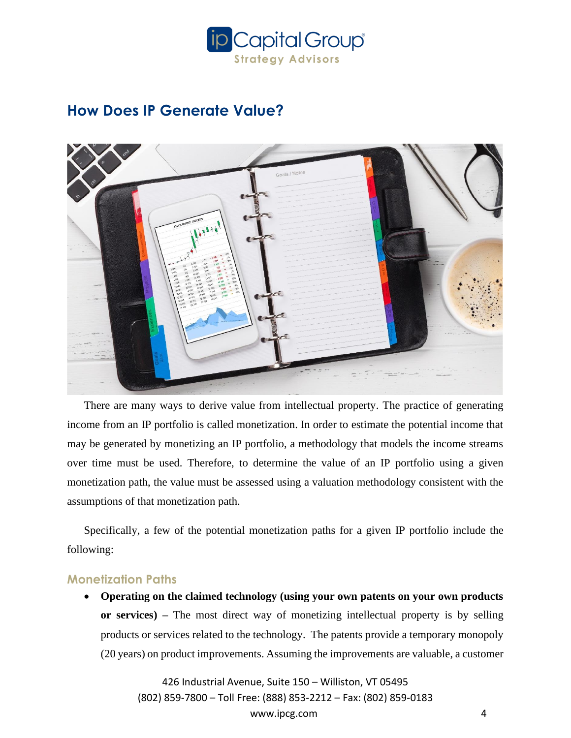

## **How Does IP Generate Value?**



There are many ways to derive value from intellectual property. The practice of generating income from an IP portfolio is called monetization. In order to estimate the potential income that may be generated by monetizing an IP portfolio, a methodology that models the income streams over time must be used. Therefore, to determine the value of an IP portfolio using a given monetization path, the value must be assessed using a valuation methodology consistent with the assumptions of that monetization path.

Specifically, a few of the potential monetization paths for a given IP portfolio include the following:

#### **Monetization Paths**

• **Operating on the claimed technology (using your own patents on your own products or services) –** The most direct way of monetizing intellectual property is by selling products or services related to the technology. The patents provide a temporary monopoly (20 years) on product improvements. Assuming the improvements are valuable, a customer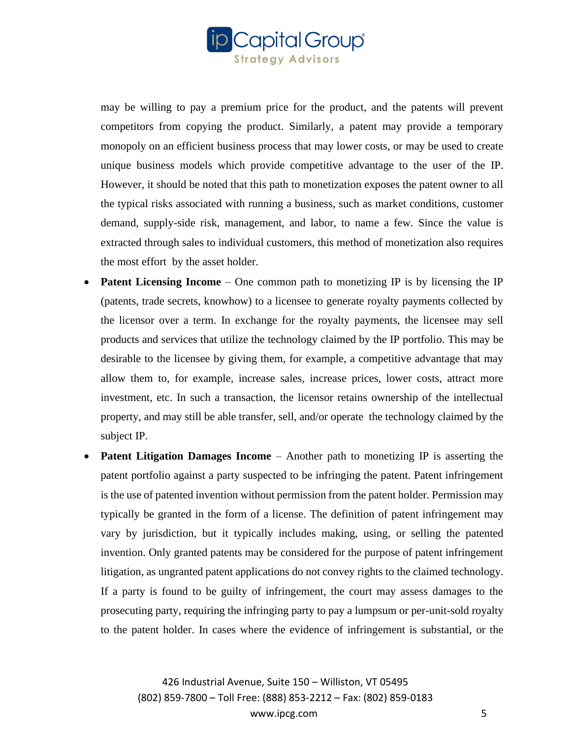

may be willing to pay a premium price for the product, and the patents will prevent competitors from copying the product. Similarly, a patent may provide a temporary monopoly on an efficient business process that may lower costs, or may be used to create unique business models which provide competitive advantage to the user of the IP. However, it should be noted that this path to monetization exposes the patent owner to all the typical risks associated with running a business, such as market conditions, customer demand, supply-side risk, management, and labor, to name a few. Since the value is extracted through sales to individual customers, this method of monetization also requires the most effort by the asset holder.

- **Patent Licensing Income** One common path to monetizing IP is by licensing the IP (patents, trade secrets, knowhow) to a licensee to generate royalty payments collected by the licensor over a term. In exchange for the royalty payments, the licensee may sell products and services that utilize the technology claimed by the IP portfolio. This may be desirable to the licensee by giving them, for example, a competitive advantage that may allow them to, for example, increase sales, increase prices, lower costs, attract more investment, etc. In such a transaction, the licensor retains ownership of the intellectual property, and may still be able transfer, sell, and/or operate the technology claimed by the subject IP.
- **Patent Litigation Damages Income** Another path to monetizing IP is asserting the patent portfolio against a party suspected to be infringing the patent. Patent infringement is the use of patented invention without permission from the patent holder. Permission may typically be granted in the form of a license. The definition of patent infringement may vary by jurisdiction, but it typically includes making, using, or selling the patented invention. Only granted patents may be considered for the purpose of patent infringement litigation, as ungranted patent applications do not convey rights to the claimed technology. If a party is found to be guilty of infringement, the court may assess damages to the prosecuting party, requiring the infringing party to pay a lumpsum or per-unit-sold royalty to the patent holder. In cases where the evidence of infringement is substantial, or the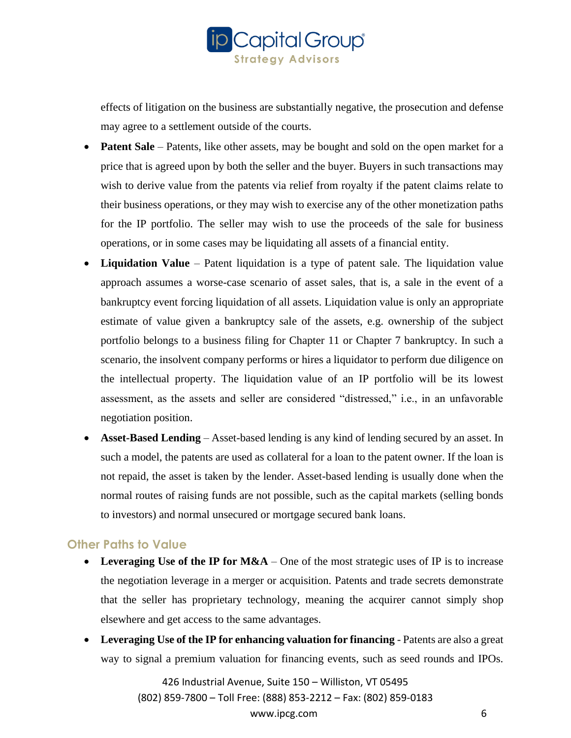

effects of litigation on the business are substantially negative, the prosecution and defense may agree to a settlement outside of the courts.

- **Patent Sale** Patents, like other assets, may be bought and sold on the open market for a price that is agreed upon by both the seller and the buyer. Buyers in such transactions may wish to derive value from the patents via relief from royalty if the patent claims relate to their business operations, or they may wish to exercise any of the other monetization paths for the IP portfolio. The seller may wish to use the proceeds of the sale for business operations, or in some cases may be liquidating all assets of a financial entity.
- **Liquidation Value** Patent liquidation is a type of patent sale. The liquidation value approach assumes a worse-case scenario of asset sales, that is, a sale in the event of a bankruptcy event forcing liquidation of all assets. Liquidation value is only an appropriate estimate of value given a bankruptcy sale of the assets, e.g. ownership of the subject portfolio belongs to a business filing for Chapter 11 or Chapter 7 bankruptcy. In such a scenario, the insolvent company performs or hires a liquidator to perform due diligence on the intellectual property. The liquidation value of an IP portfolio will be its lowest assessment, as the assets and seller are considered "distressed," i.e., in an unfavorable negotiation position.
- **Asset-Based Lending**  Asset-based lending is any kind of lending secured by an asset. In such a model, the patents are used as collateral for a loan to the patent owner. If the loan is not repaid, the asset is taken by the lender. Asset-based lending is usually done when the normal routes of raising funds are not possible, such as the capital markets (selling bonds to investors) and normal unsecured or mortgage secured bank loans.

#### **Other Paths to Value**

- Leveraging Use of the IP for M&A One of the most strategic uses of IP is to increase the negotiation leverage in a merger or acquisition. Patents and trade secrets demonstrate that the seller has proprietary technology, meaning the acquirer cannot simply shop elsewhere and get access to the same advantages.
- **Leveraging Use of the IP for enhancing valuation for financing** Patents are also a great way to signal a premium valuation for financing events, such as seed rounds and IPOs.

426 Industrial Avenue, Suite 150 – Williston, VT 05495 (802) 859-7800 – Toll Free: (888) 853-2212 – Fax: (802) 859-0183

www.ipcg.com 6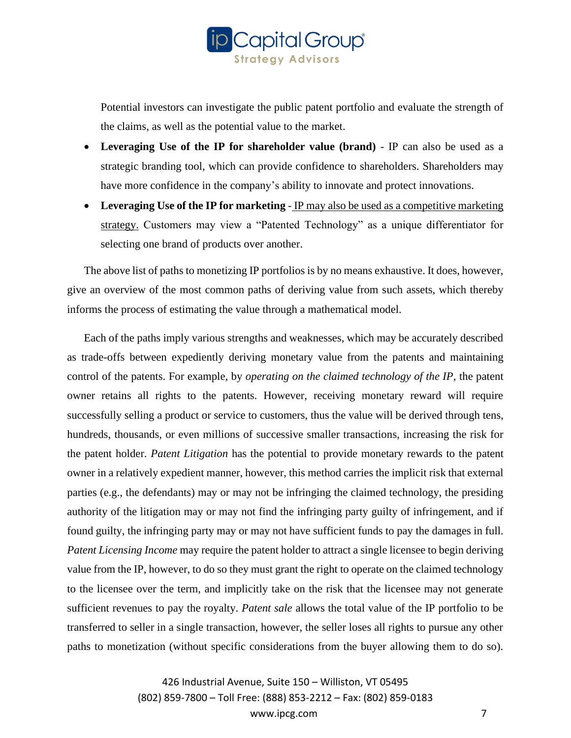

Potential investors can investigate the public patent portfolio and evaluate the strength of the claims, as well as the potential value to the market.

- **Leveraging Use of the IP for shareholder value (brand)** IP can also be used as a strategic branding tool, which can provide confidence to shareholders. Shareholders may have more confidence in the company's ability to innovate and protect innovations.
- Leveraging Use of the IP for marketing IP may also be used as a competitive marketing strategy. Customers may view a "Patented Technology" as a unique differentiator for selecting one brand of products over another.

The above list of paths to monetizing IP portfolios is by no means exhaustive. It does, however, give an overview of the most common paths of deriving value from such assets, which thereby informs the process of estimating the value through a mathematical model.

Each of the paths imply various strengths and weaknesses, which may be accurately described as trade-offs between expediently deriving monetary value from the patents and maintaining control of the patents. For example, by *operating on the claimed technology of the IP,* the patent owner retains all rights to the patents. However, receiving monetary reward will require successfully selling a product or service to customers, thus the value will be derived through tens, hundreds, thousands, or even millions of successive smaller transactions, increasing the risk for the patent holder. *Patent Litigation* has the potential to provide monetary rewards to the patent owner in a relatively expedient manner, however, this method carries the implicit risk that external parties (e.g., the defendants) may or may not be infringing the claimed technology, the presiding authority of the litigation may or may not find the infringing party guilty of infringement, and if found guilty, the infringing party may or may not have sufficient funds to pay the damages in full. *Patent Licensing Income* may require the patent holder to attract a single licensee to begin deriving value from the IP, however, to do so they must grant the right to operate on the claimed technology to the licensee over the term, and implicitly take on the risk that the licensee may not generate sufficient revenues to pay the royalty. *Patent sale* allows the total value of the IP portfolio to be transferred to seller in a single transaction, however, the seller loses all rights to pursue any other paths to monetization (without specific considerations from the buyer allowing them to do so).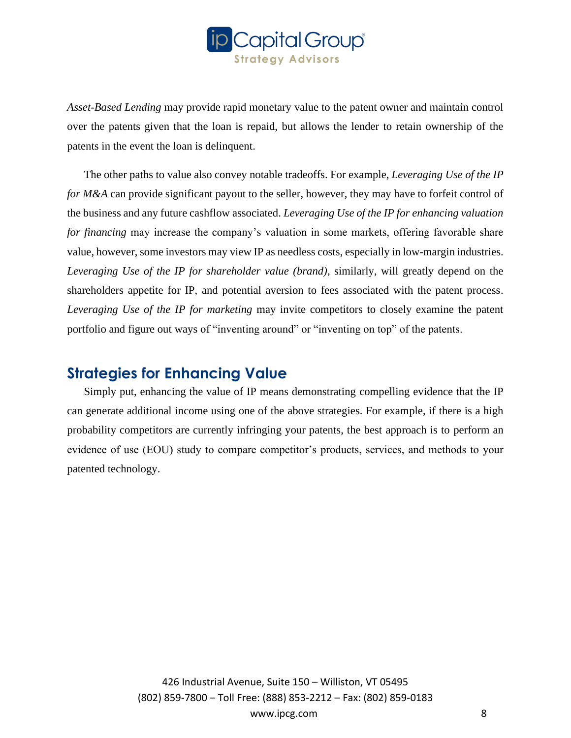

*Asset-Based Lending* may provide rapid monetary value to the patent owner and maintain control over the patents given that the loan is repaid, but allows the lender to retain ownership of the patents in the event the loan is delinquent.

The other paths to value also convey notable tradeoffs. For example, *Leveraging Use of the IP for M&A* can provide significant payout to the seller, however, they may have to forfeit control of the business and any future cashflow associated. *Leveraging Use of the IP for enhancing valuation for financing* may increase the company's valuation in some markets, offering favorable share value, however, some investors may view IP as needless costs, especially in low-margin industries. *Leveraging Use of the IP for shareholder value (brand)*, similarly, will greatly depend on the shareholders appetite for IP, and potential aversion to fees associated with the patent process. *Leveraging Use of the IP for marketing* may invite competitors to closely examine the patent portfolio and figure out ways of "inventing around" or "inventing on top" of the patents.

### **Strategies for Enhancing Value**

Simply put, enhancing the value of IP means demonstrating compelling evidence that the IP can generate additional income using one of the above strategies. For example, if there is a high probability competitors are currently infringing your patents, the best approach is to perform an evidence of use (EOU) study to compare competitor's products, services, and methods to your patented technology.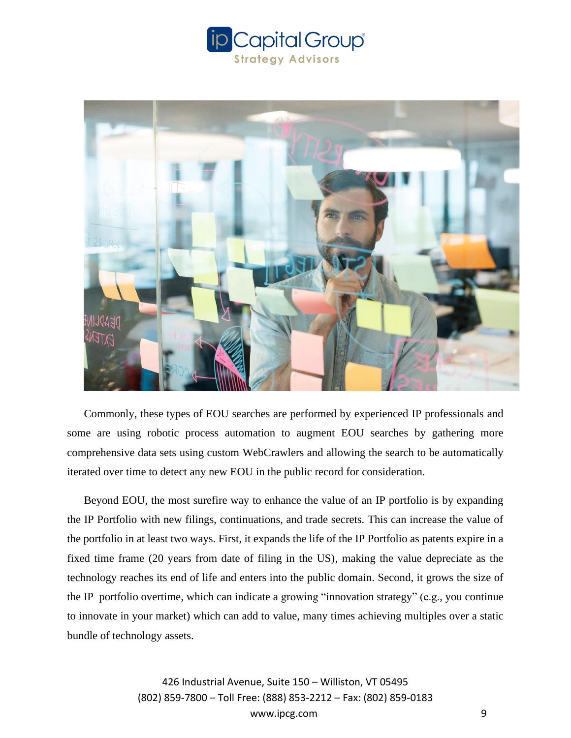



Commonly, these types of EOU searches are performed by experienced IP professionals and some are using robotic process automation to augment EOU searches by gathering more comprehensive data sets using custom WebCrawlers and allowing the search to be automatically iterated over time to detect any new EOU in the public record for consideration.

Beyond EOU, the most surefire way to enhance the value of an IP portfolio is by expanding the IP Portfolio with new filings, continuations, and trade secrets. This can increase the value of the portfolio in at least two ways. First, it expands the life of the IP Portfolio as patents expire in a fixed time frame (20 years from date of filing in the US), making the value depreciate as the technology reaches its end of life and enters into the public domain. Second, it grows the size of the IP portfolio overtime, which can indicate a growing "innovation strategy" (e.g., you continue to innovate in your market) which can add to value, many times achieving multiples over a static bundle of technology assets.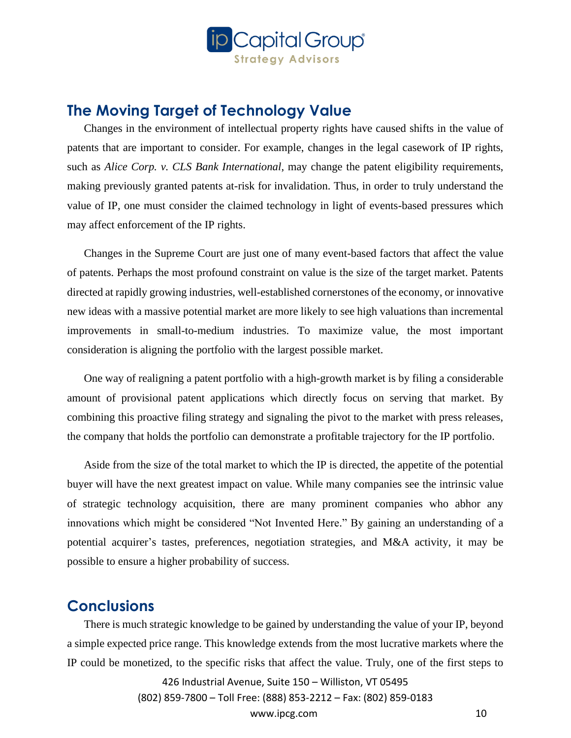

### **The Moving Target of Technology Value**

Changes in the environment of intellectual property rights have caused shifts in the value of patents that are important to consider. For example, changes in the legal casework of IP rights, such as *Alice Corp. v. CLS Bank International*, may change the patent eligibility requirements, making previously granted patents at-risk for invalidation. Thus, in order to truly understand the value of IP, one must consider the claimed technology in light of events-based pressures which may affect enforcement of the IP rights.

Changes in the Supreme Court are just one of many event-based factors that affect the value of patents. Perhaps the most profound constraint on value is the size of the target market. Patents directed at rapidly growing industries, well-established cornerstones of the economy, or innovative new ideas with a massive potential market are more likely to see high valuations than incremental improvements in small-to-medium industries. To maximize value, the most important consideration is aligning the portfolio with the largest possible market.

One way of realigning a patent portfolio with a high-growth market is by filing a considerable amount of provisional patent applications which directly focus on serving that market. By combining this proactive filing strategy and signaling the pivot to the market with press releases, the company that holds the portfolio can demonstrate a profitable trajectory for the IP portfolio.

Aside from the size of the total market to which the IP is directed, the appetite of the potential buyer will have the next greatest impact on value. While many companies see the intrinsic value of strategic technology acquisition, there are many prominent companies who abhor any innovations which might be considered "Not Invented Here." By gaining an understanding of a potential acquirer's tastes, preferences, negotiation strategies, and M&A activity, it may be possible to ensure a higher probability of success.

#### **Conclusions**

There is much strategic knowledge to be gained by understanding the value of your IP, beyond a simple expected price range. This knowledge extends from the most lucrative markets where the IP could be monetized, to the specific risks that affect the value. Truly, one of the first steps to

> 426 Industrial Avenue, Suite 150 – Williston, VT 05495 (802) 859-7800 – Toll Free: (888) 853-2212 – Fax: (802) 859-0183

> > www.ipcg.com 10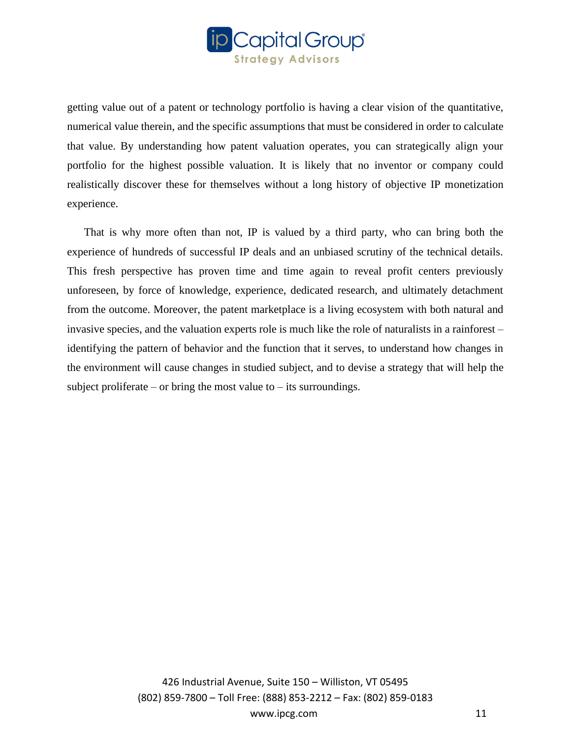

getting value out of a patent or technology portfolio is having a clear vision of the quantitative, numerical value therein, and the specific assumptions that must be considered in order to calculate that value. By understanding how patent valuation operates, you can strategically align your portfolio for the highest possible valuation. It is likely that no inventor or company could realistically discover these for themselves without a long history of objective IP monetization experience.

That is why more often than not, IP is valued by a third party, who can bring both the experience of hundreds of successful IP deals and an unbiased scrutiny of the technical details. This fresh perspective has proven time and time again to reveal profit centers previously unforeseen, by force of knowledge, experience, dedicated research, and ultimately detachment from the outcome. Moreover, the patent marketplace is a living ecosystem with both natural and invasive species, and the valuation experts role is much like the role of naturalists in a rainforest – identifying the pattern of behavior and the function that it serves, to understand how changes in the environment will cause changes in studied subject, and to devise a strategy that will help the subject proliferate – or bring the most value to – its surroundings.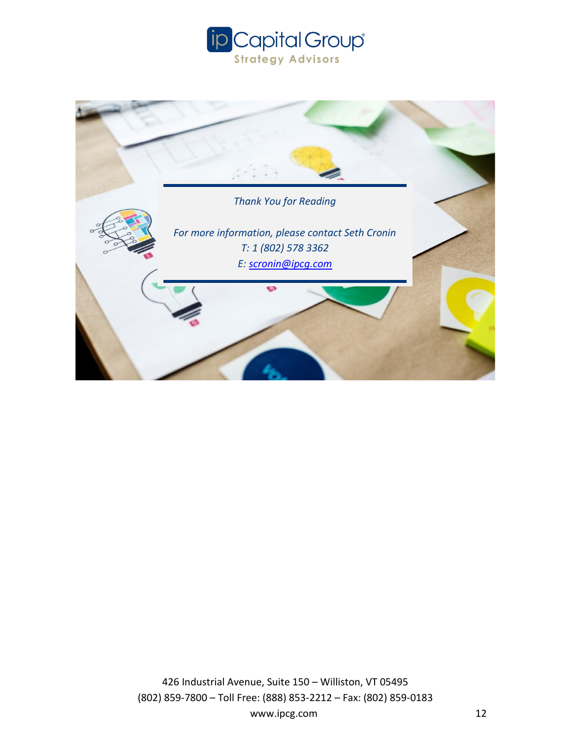



www.ipcg.com 12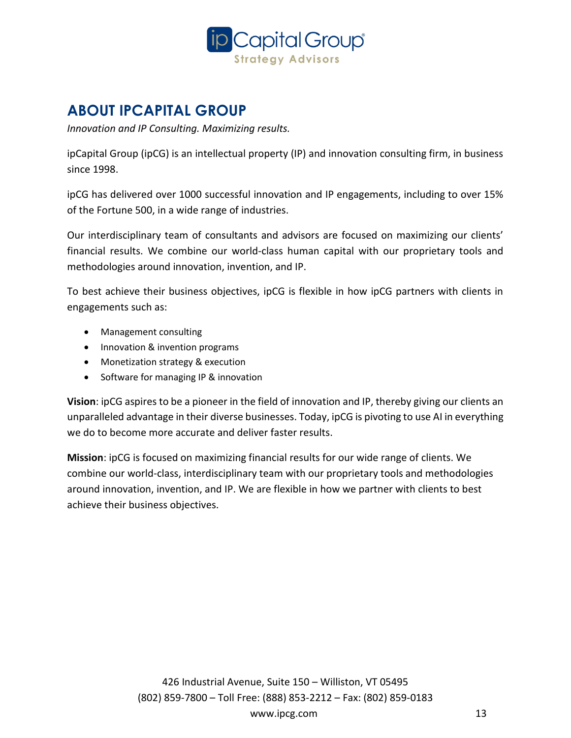

## **ABOUT IPCAPITAL GROUP**

*Innovation and IP Consulting. Maximizing results.*

ipCapital Group (ipCG) is an intellectual property (IP) and innovation consulting firm, in business since 1998.

ipCG has delivered over 1000 successful innovation and IP engagements, including to over 15% of the Fortune 500, in a wide range of industries.

Our interdisciplinary team of consultants and advisors are focused on maximizing our clients' financial results. We combine our world-class human capital with our proprietary tools and methodologies around innovation, invention, and IP.

To best achieve their business objectives, ipCG is flexible in how ipCG partners with clients in engagements such as:

- Management consulting
- Innovation & invention programs
- Monetization strategy & execution
- Software for managing IP & innovation

**Vision**: ipCG aspires to be a pioneer in the field of innovation and IP, thereby giving our clients an unparalleled advantage in their diverse businesses. Today, ipCG is pivoting to use AI in everything we do to become more accurate and deliver faster results.

**Mission**: ipCG is focused on maximizing financial results for our wide range of clients. We combine our world-class, interdisciplinary team with our proprietary tools and methodologies around innovation, invention, and IP. We are flexible in how we partner with clients to best achieve their business objectives.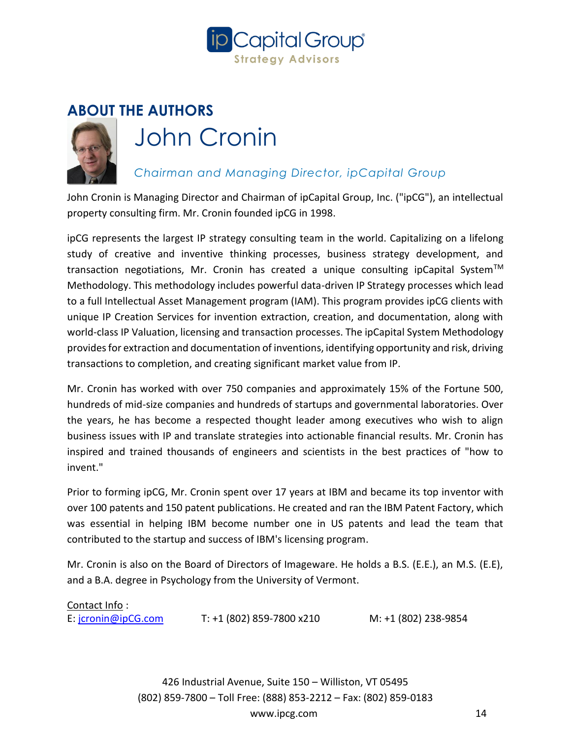

## **ABOUT THE AUTHORS**



# John Cronin

#### *Chairman and Managing Director, ipCapital Group*

John Cronin is Managing Director and Chairman of ipCapital Group, Inc. ("ipCG"), an intellectual property consulting firm. Mr. Cronin founded ipCG in 1998.

ipCG represents the largest IP strategy consulting team in the world. Capitalizing on a lifelong study of creative and inventive thinking processes, business strategy development, and transaction negotiations, Mr. Cronin has created a unique consulting ipCapital System<sup>TM</sup> Methodology. This methodology includes powerful data-driven IP Strategy processes which lead to a full Intellectual Asset Management program (IAM). This program provides ipCG clients with unique IP Creation Services for invention extraction, creation, and documentation, along with world-class IP Valuation, licensing and transaction processes. The ipCapital System Methodology provides for extraction and documentation of inventions, identifying opportunity and risk, driving transactions to completion, and creating significant market value from IP.

Mr. Cronin has worked with over 750 companies and approximately 15% of the Fortune 500, hundreds of mid-size companies and hundreds of startups and governmental laboratories. Over the years, he has become a respected thought leader among executives who wish to align business issues with IP and translate strategies into actionable financial results. Mr. Cronin has inspired and trained thousands of engineers and scientists in the best practices of "how to invent."

Prior to forming ipCG, Mr. Cronin spent over 17 years at IBM and became its top inventor with over 100 patents and 150 patent publications. He created and ran the IBM Patent Factory, which was essential in helping IBM become number one in US patents and lead the team that contributed to the startup and success of IBM's licensing program.

Mr. Cronin is also on the Board of Directors of Imageware. He holds a B.S. (E.E.), an M.S. (E.E), and a B.A. degree in Psychology from the University of Vermont.

#### Contact Info :

E: [jcronin@ipCG.com](mailto:jcronin@ipCG.com) T: +1 (802) 859-7800 x210 M: +1 (802) 238-9854